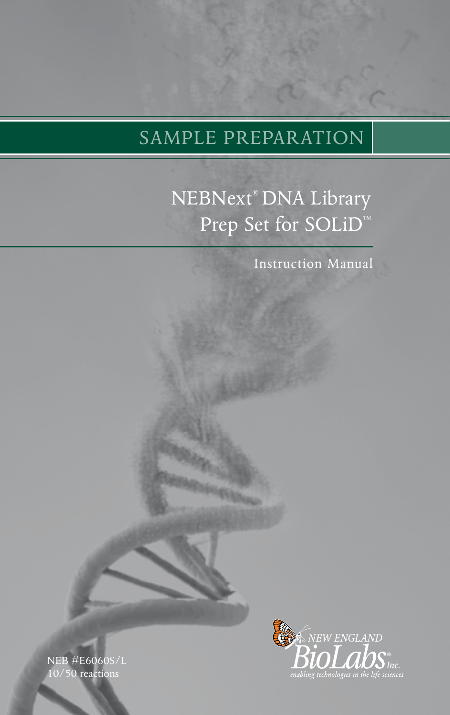# SAMPLE PREPARATION

# NEBNext® DNA Library Prep Set for SOLiD<sup>™</sup>

Instruction Manual

NEB #E6060S/L 10/50 reactions

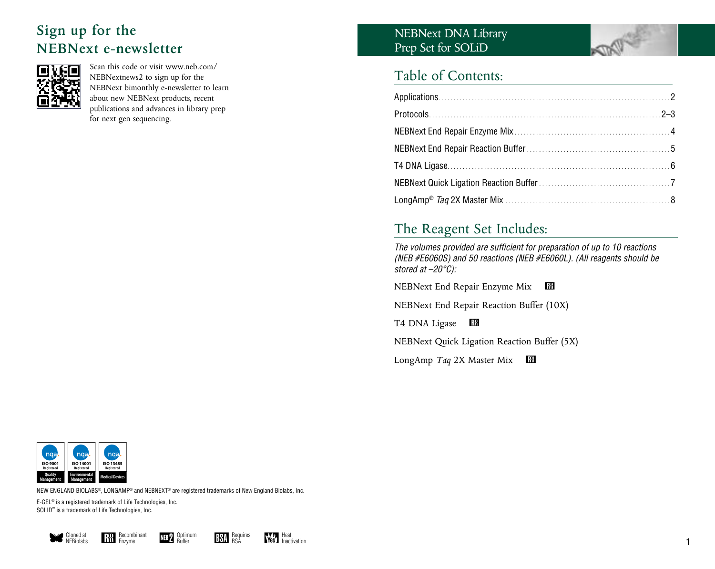# **Sign up for the NEBNext e-newsletter**



Scan this code or visit www.neb.com/ NEBNextnews2 to sign up for the NEBNext bimonthly e-newsletter to learn about new NEBNext products, recent publications and advances in library prep for next gen sequencing.

# NEBNext DNA Library Prep Set for SOLiD



# Table of Contents:

# The Reagent Set Includes:

*The volumes provided are sufficient for preparation of up to 10 reactions (NEB #E6060S) and 50 reactions (NEB #E6060L). (All reagents should be stored at –20°C):*

NEBNext End Repair Enzyme Mix R

NEBNext End Repair Reaction Buffer (10X)

T4 DNA Ligase **RM** 

NEBNext Quick Ligation Reaction Buffer (5X)

LongAmp *Taq* 2X Master Mix **R** 



NEW ENGLAND BIOLABS®, LongAmp® and NEBNext® are registered trademarks of New England Biolabs, Inc.

E-GEL® is a registered trademark of Life Technologies, Inc. SOLID™ is a trademark of Life Technologies, Inc.







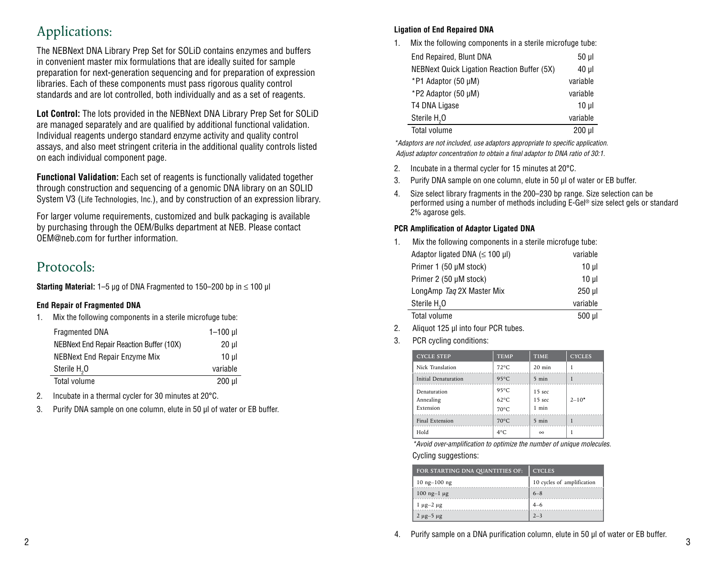# Applications:

The NEBNext DNA Library Prep Set for SOLiD contains enzymes and buffers in convenient master mix formulations that are ideally suited for sample preparation for next-generation sequencing and for preparation of expression libraries. Each of these components must pass rigorous quality control standards and are lot controlled, both individually and as a set of reagents.

**Lot Control:** The lots provided in the NEBNext DNA Library Prep Set for SOLiD are managed separately and are qualified by additional functional validation. Individual reagents undergo standard enzyme activity and quality control assays, and also meet stringent criteria in the additional quality controls listed on each individual component page.

**Functional Validation:** Each set of reagents is functionally validated together through construction and sequencing of a genomic DNA library on an SOLID System V3 (Life Technologies, Inc.), and by construction of an expression library.

For larger volume requirements, customized and bulk packaging is available by purchasing through the OEM/Bulks department at NEB. Please contact OEM@neb.com for further information.

# Protocols:

 $\overline{a}$ 

**Starting Material:** 1–5 µg of DNA Fragmented to 150–200 bp in ≤ 100 µl

## **End Repair of Fragmented DNA**

1. Mix the following components in a sterile microfuge tube:

| <b>Fragmented DNA</b>                           | $1 - 100$ µ |
|-------------------------------------------------|-------------|
| <b>NEBNext End Repair Reaction Buffer (10X)</b> | 20 ul       |
| NEBNext End Repair Enzyme Mix                   | $10$ ul     |
| Sterile H.O                                     | variable    |
| Total volume                                    | $200$ $\mu$ |

2. Incubate in a thermal cycler for 30 minutes at 20°C.

3. Purify DNA sample on one column, elute in 50 µl of water or EB buffer.

## **Ligation of End Repaired DNA**

1. Mix the following components in a sterile microfuge tube:

| End Repaired, Blunt DNA                            | 50 µl    |
|----------------------------------------------------|----------|
| <b>NEBNext Quick Ligation Reaction Buffer (5X)</b> | 40 µl    |
| *P1 Adaptor (50 µM)                                | variable |
| *P2 Adaptor (50 µM)                                | variable |
| T4 DNA Ligase                                      | $10 \mu$ |
| Sterile H <sub>2</sub> O                           | variable |
| Total volume                                       | 200 ul   |

*\*Adaptors are not included, use adaptors appropriate to specific application. Adjust adaptor concentration to obtain a final adaptor to DNA ratio of 30:1.*

- 2. Incubate in a thermal cycler for 15 minutes at 20°C.
- 3. Purify DNA sample on one column, elute in 50 µl of water or EB buffer.
- 4. Size select library fragments in the 200–230 bp range. Size selection can be performed using a number of methods including E-Gel® size select gels or standard 2% agarose gels.

## **PCR Amplification of Adaptor Ligated DNA**

| 1. | Mix the following components in a sterile microfuge tube: |          |  |
|----|-----------------------------------------------------------|----------|--|
|    | Adaptor ligated DNA $(\leq 100 \,\mu$ I)                  | variable |  |
|    | Primer 1 (50 µM stock)                                    | $10 \mu$ |  |
|    | Primer 2 (50 µM stock)                                    | $10 \mu$ |  |
|    | LongAmp Tag 2X Master Mix                                 | $250$ µ  |  |
|    | Sterile H <sub>2</sub> O                                  | variable |  |
|    | Total volume                                              | 500 ul   |  |

- 2. Aliquot 125 µl into four PCR tubes.
- 3. PCR cycling conditions:

| <b>CYCLE STEP</b>         | <b>TEMP</b>                      | <b>TIME</b>                            | <b>CYCLES</b> |
|---------------------------|----------------------------------|----------------------------------------|---------------|
| Nick Translation          | $72^{\circ}$ C                   | $20$ min                               |               |
| Initial Denaturation      | $95^{\circ}$ C                   | 5 min                                  |               |
| Denaturation<br>Annealing | $95^{\circ}$ C<br>$62^{\circ}$ C | 15 <sub>sec</sub><br>15 <sub>sec</sub> | $2 - 10*$     |
| Extension                 | $70^{\circ}$ C                   | 1 min                                  |               |
| Final Extension           | $70^{\circ}$ C                   | 5 min                                  |               |
| Hold                      | $4^{\circ}$ C                    | $\infty$                               |               |

*\*Avoid over-amplification to optimize the number of unique molecules.*

Cycling suggestions:

| FOR STARTING DNA QUANTITIES OF: | <b>CYCLES</b>              |
|---------------------------------|----------------------------|
| $10$ ng $-100$ ng               | 10 cycles of amplification |
| $100$ ng-1 $\mu$ g              | $6 - 8$                    |
| $1 \mu$ g-2 $\mu$ g             |                            |
| $2 \mu$ g-5 $\mu$ g             | $2 - 3$                    |

2  $\sim$  3 4. Purify sample on a DNA purification column, elute in 50 µl of water or EB buffer.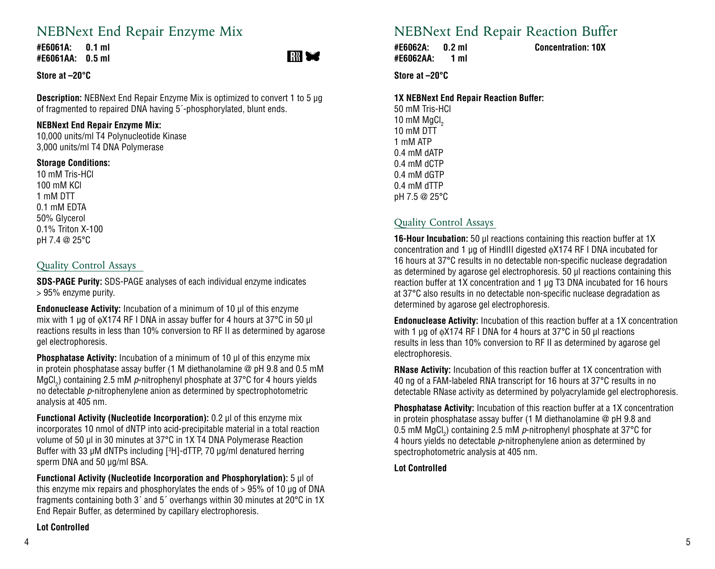# NEBNext End Repair Enzyme Mix

**#E6061A: 0.1 ml #E6061AA: 0.5 ml**



**Store at –20°C** 

**Description:** NEBNext End Repair Enzyme Mix is optimized to convert 1 to 5 µg of fragmented to repaired DNA having 5´-phosphorylated, blunt ends.

## **NEBNext End Repair Enzyme Mix:**

10,000 units/ml T4 Polynucleotide Kinase 3,000 units/ml T4 DNA Polymerase

## **Storage Conditions:**

10 mM Tris-HCl 100 mM KCl 1 mM DTT 0.1 mM EDTA 50% Glycerol 0.1% Triton X-100 pH 7.4 @ 25°C

## Quality Control Assays

**SDS-PAGE Purity:** SDS-PAGE analyses of each individual enzyme indicates > 95% enzyme purity.

**Endonuclease Activity:** Incubation of a minimum of 10 µl of this enzyme mix with 1 µg of φX174 RF I DNA in assay buffer for 4 hours at 37°C in 50 µl reactions results in less than 10% conversion to RF II as determined by agarose gel electrophoresis.

**Phosphatase Activity:** Incubation of a minimum of 10 µl of this enzyme mix in protein phosphatase assay buffer (1 M diethanolamine @ pH 9.8 and 0.5 mM MgCl<sub>2</sub>) containing 2.5 mM *p*-nitrophenyl phosphate at 37°C for 4 hours yields no detectable *p*-nitrophenylene anion as determined by spectrophotometric analysis at 405 nm.

**Functional Activity (Nucleotide Incorporation):** 0.2 µl of this enzyme mix incorporates 10 nmol of dNTP into acid-precipitable material in a total reaction volume of 50 µl in 30 minutes at 37°C in 1X T4 DNA Polymerase Reaction Buffer with 33  $\mu$ M dNTPs including [ ${}^{3}$ H]-dTTP, 70  $\mu$ g/ml denatured herring sperm DNA and 50 µg/ml BSA.

**Functional Activity (Nucleotide Incorporation and Phosphorylation):** 5 µl of this enzyme mix repairs and phosphorylates the ends of > 95% of 10 µg of DNA fragments containing both 3´ and 5´ overhangs within 30 minutes at 20°C in 1X End Repair Buffer, as determined by capillary electrophoresis.

## **Lot Controlled**

# NEBNext End Repair Reaction Buffer

**#E6062A: 0.2 ml Concentration: 10X #E6062AA: 1 ml**

**Store at –20°C** 

### **1X NEBNext End Repair Reaction Buffer:**

50 mM Tris-HCl 10 mM  $MgCl<sub>2</sub>$ 10 mM DTT 1 mM ATP 0.4 mM dATP 0.4 mM dCTP 0.4 mM dGTP 0.4 mM dTTP pH 7.5 @ 25°C

# Quality Control Assays

**16-Hour Incubation:** 50 µl reactions containing this reaction buffer at 1X concentration and 1 µg of HindIII digested φX174 RF I DNA incubated for 16 hours at 37°C results in no detectable non-specific nuclease degradation as determined by agarose gel electrophoresis. 50 µl reactions containing this reaction buffer at 1X concentration and 1 µg T3 DNA incubated for 16 hours at 37°C also results in no detectable non-specific nuclease degradation as determined by agarose gel electrophoresis.

**Endonuclease Activity:** Incubation of this reaction buffer at a 1X concentration with 1 μg of φX174 RF I DNA for 4 hours at 37°C in 50 µl reactions results in less than 10% conversion to RF II as determined by agarose gel electrophoresis.

**RNase Activity:** Incubation of this reaction buffer at 1X concentration with 40 ng of a FAM-labeled RNA transcript for 16 hours at 37°C results in no detectable RNase activity as determined by polyacrylamide gel electrophoresis.

**Phosphatase Activity:** Incubation of this reaction buffer at a 1X concentration in protein phosphatase assay buffer (1 M diethanolamine @ pH 9.8 and 0.5 mM MgCl<sub>2</sub>) containing 2.5 mM  $\rho$ -nitrophenyl phosphate at 37°C for 4 hours yields no detectable *p*-nitrophenylene anion as determined by spectrophotometric analysis at 405 nm.

## **Lot Controlled**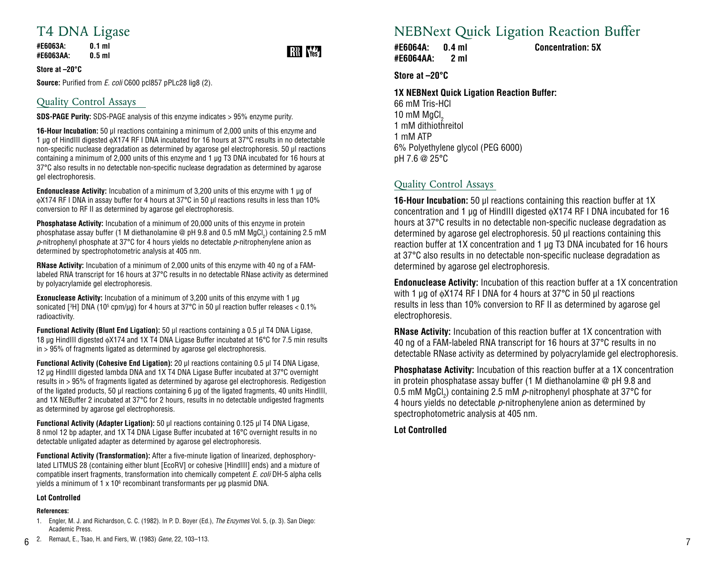# T4 DNA Ligase

**#E6063A: 0.1 ml #E6063AA: 0.5 ml**

# **RR** Was

**Store at –20°C** 

**Source:** Purified from *E. coli* C600 pcl857 pPLc28 lig8 (2).

# Quality Control Assays

**SDS-PAGE Purity:** SDS-PAGE analysis of this enzyme indicates > 95% enzyme purity.

**16-Hour Incubation:** 50 µl reactions containing a minimum of 2,000 units of this enzyme and 1 ug of HindIII digested  $\phi$ X174 RF I DNA incubated for 16 hours at 37°C results in no detectable non-specific nuclease degradation as determined by agarose gel electrophoresis. 50 ul reactions containing a minimum of 2,000 units of this enzyme and 1 µg T3 DNA incubated for 16 hours at 37°C also results in no detectable non-specific nuclease degradation as determined by agarose gel electrophoresis.

**Endonuclease Activity:** Incubation of a minimum of 3,200 units of this enzyme with 1 µg of φX174 RF I DNA in assay buffer for 4 hours at 37°C in 50 µl reactions results in less than 10% conversion to RF II as determined by agarose gel electrophoresis.

**Phosphatase Activity:** Incubation of a minimum of 20,000 units of this enzyme in protein phosphatase assay buffer (1 M diethanolamine @ pH 9.8 and 0.5 mM MgCl<sub>2</sub>) containing 2.5 mM *p*-nitrophenyl phosphate at 37°C for 4 hours yields no detectable *p*-nitrophenylene anion as determined by spectrophotometric analysis at 405 nm.

**RNase Activity:** Incubation of a minimum of 2,000 units of this enzyme with 40 ng of a FAMlabeled RNA transcript for 16 hours at 37°C results in no detectable RNase activity as determined by polyacrylamide gel electrophoresis.

**Exonuclease Activity:** Incubation of a minimum of 3.200 units of this enzyme with 1 ug sonicated [3H] DNA (105 cpm/µg) for 4 hours at 37°C in 50 µl reaction buffer releases < 0.1% radioactivity.

**Functional Activity (Blunt End Ligation):** 50 µl reactions containing a 0.5 µl T4 DNA Ligase, 18 ug HindIII digested  $\phi$ X174 and 1X T4 DNA Ligase Buffer incubated at 16°C for 7.5 min results in > 95% of fragments ligated as determined by agarose gel electrophoresis.

**Functional Activity (Cohesive End Ligation):** 20 µl reactions containing 0.5 µl T4 DNA Ligase, 12 µg HindIII digested lambda DNA and 1X T4 DNA Ligase Buffer incubated at 37°C overnight results in > 95% of fragments ligated as determined by agarose gel electrophoresis. Redigestion of the ligated products, 50 µl reactions containing 6 µg of the ligated fragments, 40 units HindIII, and 1X NEBuffer 2 incubated at 37°C for 2 hours, results in no detectable undigested fragments as determined by agarose gel electrophoresis.

**Functional Activity (Adapter Ligation):** 50 µl reactions containing 0.125 µl T4 DNA Ligase, 8 nmol 12 bp adapter, and 1X T4 DNA Ligase Buffer incubated at 16°C overnight results in no detectable unligated adapter as determined by agarose gel electrophoresis.

**Functional Activity (Transformation):** After a five-minute ligation of linearized, dephosphorylated LITMUS 28 (containing either blunt [EcoRV] or cohesive [HindIII] ends) and a mixture of compatible insert fragments, transformation into chemically competent *E. coli* DH-5 alpha cells yields a minimum of 1 x 10 $^{\rm 6}$  recombinant transformants per  $\mu$ g plasmid DNA.

### **Lot Controlled**

### **References:**

1. Engler, M. J. and Richardson, C. C. (1982). In P. D. Boyer (Ed.), *The Enzymes* Vol. 5, (p. 3). San Diego: Academic Press.

# NEBNext Quick Ligation Reaction Buffer

**#E6064A: 0.4 ml Concentration: 5X #E6064AA: 2 ml**

**Store at –20°C** 

### **1X NEBNext Quick Ligation Reaction Buffer:**

66 mM Tris-HCl  $10 \text{ mM }$  MgCl<sub>2</sub> 1 mM dithiothreitol 1 mM ATP 6% Polyethylene glycol (PEG 6000) pH 7.6 @ 25°C

## Quality Control Assays

**16-Hour Incubation:** 50 µl reactions containing this reaction buffer at 1X concentration and 1 µg of HindIII digested φX174 RF I DNA incubated for 16 hours at 37°C results in no detectable non-specific nuclease degradation as determined by agarose gel electrophoresis. 50 µl reactions containing this reaction buffer at 1X concentration and 1 µg T3 DNA incubated for 16 hours at 37°C also results in no detectable non-specific nuclease degradation as determined by agarose gel electrophoresis.

**Endonuclease Activity:** Incubation of this reaction buffer at a 1X concentration with 1 μg of φX174 RF I DNA for 4 hours at 37°C in 50 µl reactions results in less than 10% conversion to RF II as determined by agarose gel electrophoresis.

**RNase Activity:** Incubation of this reaction buffer at 1X concentration with 40 ng of a FAM-labeled RNA transcript for 16 hours at 37°C results in no detectable RNase activity as determined by polyacrylamide gel electrophoresis.

**Phosphatase Activity:** Incubation of this reaction buffer at a 1X concentration in protein phosphatase assay buffer (1 M diethanolamine @ pH 9.8 and 0.5 mM MgCl<sub>2</sub>) containing 2.5 mM  $\rho$ -nitrophenyl phosphate at 37°C for 4 hours yields no detectable *p*-nitrophenylene anion as determined by spectrophotometric analysis at 405 nm.

**Lot Controlled**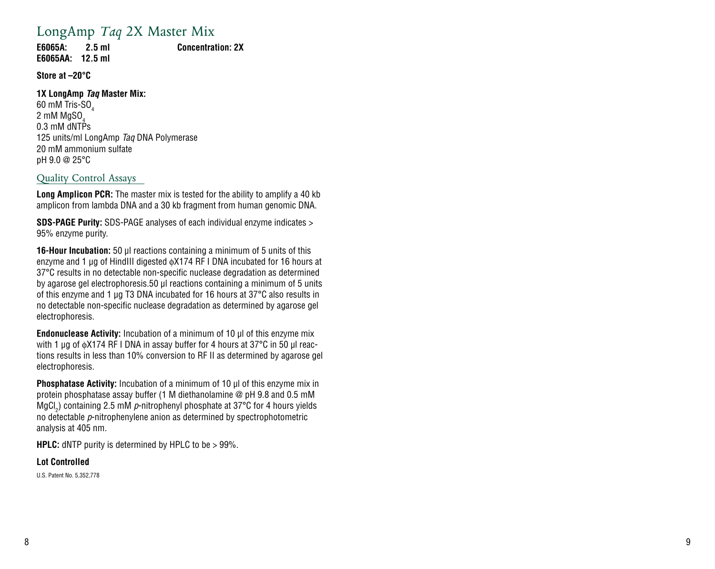# LongAmp *Taq* 2X Master Mix

**E6065A: 2.5 ml Concentration: 2X E6065AA: 12.5 ml** 

**Store at –20°C** 

### **1X LongAmp** *Taq* **Master Mix:**

60 mM Tris-SO $\rm _4$ 2 mM MgSO  $2 \text{ mm} \text{ m}$ goo $_4$ 125 units/ml LongAmp *Taq* DNA Polymerase 20 mM ammonium sulfate pH 9 .0 @ 25°C

## Quality Control Assays

**Long Amplicon PCR:** The master mix is tested for the ability to amplify a 40 kb amplicon from lambda DNA and a 30 kb fragment from human genomic DNA .

**SDS-PAGE Purity:** SDS-PAGE analyses of each individual enzyme indicates > 95% enzyme purity .

**16-Hour Incubation:** 50 µl reactions containing a minimum of 5 units of this enzyme and 1 µg of HindIII digested φX174 RF I DNA incubated for 16 hours at 37°C results in no detectable non-specific nuclease degradation as determined by agarose gel electrophoresis.50 µl reactions containing a minimum of 5 units of this enzyme and 1 µg T3 DNA incubated for 16 hours at 37°C also results in no detectable non-specific nuclease degradation as determined by agarose gel electrophoresis .

**Endonuclease Activity:** Incubation of a minimum of 10 µl of this enzyme mix with 1 µg of φX174 RF I DNA in assay buffer for 4 hours at 37°C in 50 µl reac tions results in less than 10% conversion to RF II as determined by agarose gel electrophoresis .

**Phosphatase Activity:** Incubation of a minimum of 10 µl of this enzyme mix in protein phosphatase assay buffer (1 M diethanolamine @ pH 9 .8 and 0 .5 mM MgCl<sub>2</sub>) containing 2.5 mM p-nitrophenyl phosphate at 37°C for 4 hours yields no detectable *p*-nitrophenylene anion as determined by spectrophotometric analysis at 405 nm .

**HPLC:** dNTP purity is determined by HPLC to be > 99% .

### **Lot Controlled**

U.S. Patent No. 5,352,778